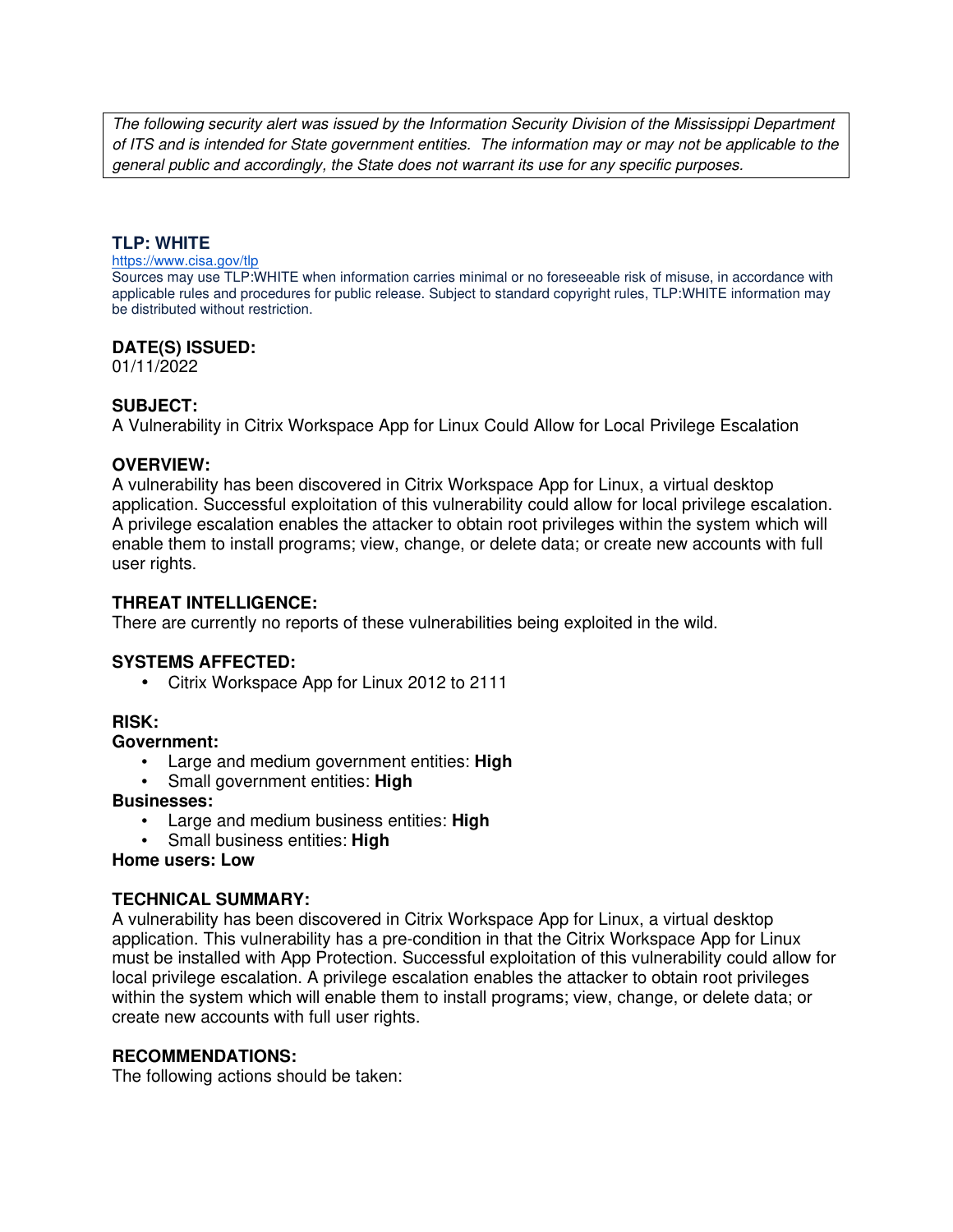The following security alert was issued by the Information Security Division of the Mississippi Department of ITS and is intended for State government entities. The information may or may not be applicable to the general public and accordingly, the State does not warrant its use for any specific purposes.

## **TLP: WHITE**

#### https://www.cisa.gov/tlp

Sources may use TLP:WHITE when information carries minimal or no foreseeable risk of misuse, in accordance with applicable rules and procedures for public release. Subject to standard copyright rules, TLP:WHITE information may be distributed without restriction.

### **DATE(S) ISSUED:**

01/11/2022

# **SUBJECT:**

A Vulnerability in Citrix Workspace App for Linux Could Allow for Local Privilege Escalation

### **OVERVIEW:**

A vulnerability has been discovered in Citrix Workspace App for Linux, a virtual desktop application. Successful exploitation of this vulnerability could allow for local privilege escalation. A privilege escalation enables the attacker to obtain root privileges within the system which will enable them to install programs; view, change, or delete data; or create new accounts with full user rights.

## **THREAT INTELLIGENCE:**

There are currently no reports of these vulnerabilities being exploited in the wild.

### **SYSTEMS AFFECTED:**

• Citrix Workspace App for Linux 2012 to 2111

### **RISK:**

### **Government:**

- Large and medium government entities: **High**
- Small government entities: **High**

### **Businesses:**

- Large and medium business entities: **High**
- Small business entities: **High**

### **Home users: Low**

### **TECHNICAL SUMMARY:**

A vulnerability has been discovered in Citrix Workspace App for Linux, a virtual desktop application. This vulnerability has a pre-condition in that the Citrix Workspace App for Linux must be installed with App Protection. Successful exploitation of this vulnerability could allow for local privilege escalation. A privilege escalation enables the attacker to obtain root privileges within the system which will enable them to install programs; view, change, or delete data; or create new accounts with full user rights.

### **RECOMMENDATIONS:**

The following actions should be taken: